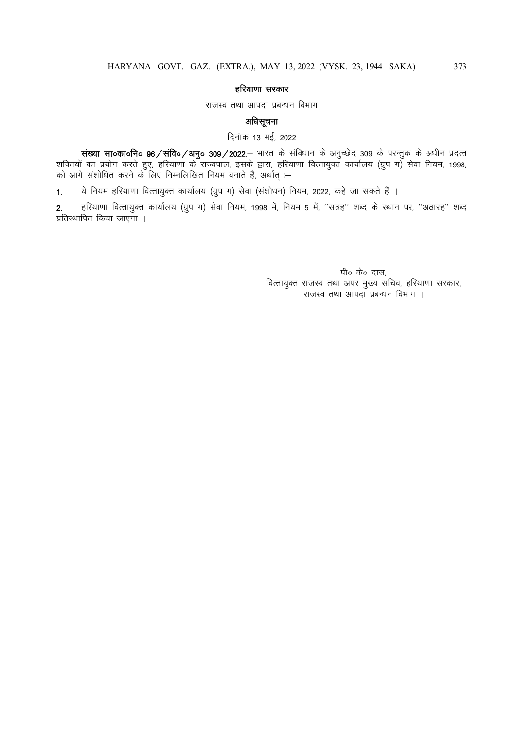## हरियाणा सरकार

राजस्व तथा आपदा प्रबन्धन विभाग

# अधिसूचना

दिनांक 13 मई, 2022

संख्या सा०का०नि० 96/संवि०/अनु० 309/2022.- भारत के संविधान के अनुच्छेद 309 के परन्तुक के अधीन प्रदत्त शक्तियों का प्रयोग करते हुए, हरियाणा के राज्यपाल, इसके द्वारा, हरियाणा वित्तायुक्त कार्यालय (ग्रुप ग) सेवा नियम, 1998, को आगे संशोधित करने के लिए निम्नलिखित नियम बनाते हैं, अर्थात् :–

1. ये नियम हरियाणा वित्तायुक्त कार्यालय (ग्रुप ग) सेवा (संशोधन) नियम, 2022, कहे जा सकते हैं ।

2. हरियाणा वित्तायुक्त कार्यालय (ग्रुप ग) सेवा नियम, 1998 में, नियम 5 में, ''सत्रह'' शब्द के स्थान पर, ''अठारह'' शब्द प्रतिस्थापित किया जाएगा ।

> पी० के० दास, वित्तायुक्त राजस्व तथा अपर मुख्य सचिव, हरियाणा सरकार, राजस्व तथा आपदा प्रबन्धन विभाग ।